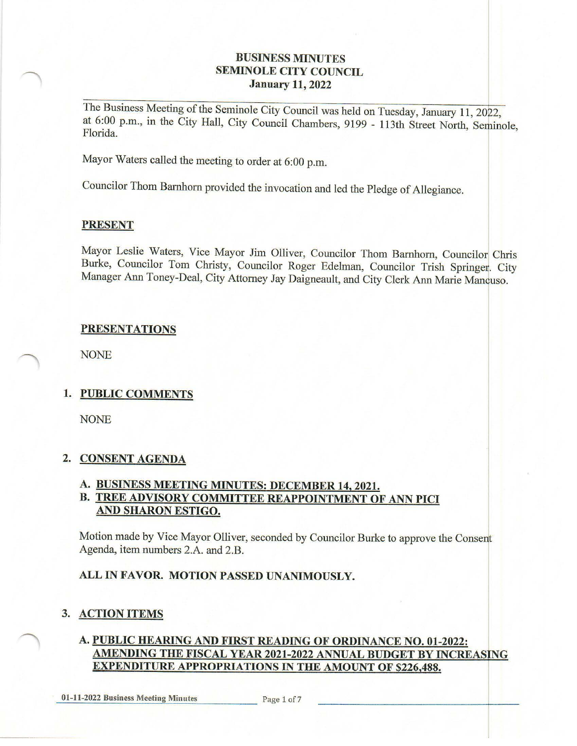## **BUSINESS MINUTES SEMINOLE CITY COUNCIL January 11, 2022**

The Business Meeting of the Seminole City Council was held on Tuesday, January 11, 2022, at 6:00 p.m., in the City Hall, City Council Chambers, 9199 - 113th Street North, Seminole, Florida.

Mayor Waters called the meeting to order at 6:00 p.m.

Councilor Thom Bamhorn provided the invocation and led the Pledge of Allegiance.

#### **PRESENT**

Mayor Leslie Waters, Vice Mayor Jim Olliver, Councilor Thom Barnhorn, Councilor Chris Burke, Councilor Tom Christy, Councilor Roger Edelman, Councilor Trish Springer. City Manager Ann Toney-Deal, City Attorney Jay Daigneault, and City Clerk Ann Marie Mancuso.

## **PRESENTATIONS**

NONE

## **1. PUBLIC COMMENTS**

NONE

## **2. CONSENT AGENDA**

# **A. BUSINESS MEETING MINUTES: DECEMBER 14, 2021.**

## **B. TREE ADVISORY COMMITTEE REAPPOINTMENT OF ANN PICI AND SHARON ESTIGO.**

Motion made by Vice Mayor Olliver, seconded by Councilor Burke to approve the Consent Agenda, item numbers 2.A. and 2.B.

## **ALL IN FAVOR. MOTION PASSED UNANIMOUSLY.**

## **3. ACTION ITEMS**

## **A. PUBLIC HEARING AND FIRST READING OF ORDINANCE NO. 01-2022: AMENDING THE FISCAL YEAR 2021-2022 ANNUAL BUDGET BY INCREASING EXPENDITURE APPROPRIATIONS IN THE AMOUNT OF \$226,488.**

**01-11-2022 Business Meeting Minutes** Page 1 of 7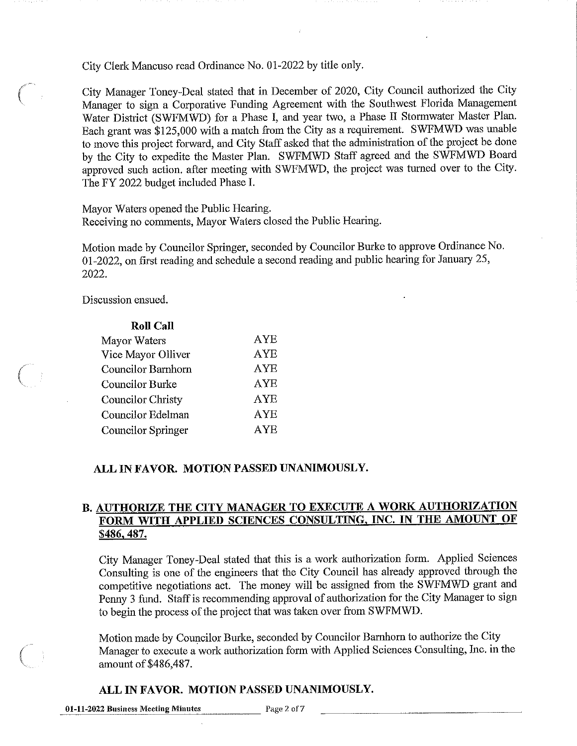City Clerk Mancuso read Ordinance No. 01-2022 by title only.

City Manager Toney-Deal stated that in December of 2020, City Council authorized the City ( Manager to sign a Corporative Funding Agreement with the Southwest Florida Management Water District (SWFMWD) for a Phase I, and year two, a Phase II Stormwater Master Plan. Each grant was \$125,000 with a match from the City as a requirement. SWFMWD was unable to move this project forward, and City Staff asked that the administration of the project be done by the City to expedite the Master Plan. SWFMWD Staff agreed and the SWFMWD Board approved such action. after meeting with SWFMWD, the project was turned over to the City. The FY 2022 budget included Phase I.

Mayor Waters opened the Public Hearing. Receiving no comments, Mayor Waters closed the Public Hearing.

Motion made by Councilor Springer, seconded by Councilor Burke to approve Ordinance No. 01-2022, on first reading and schedule a second reading and public hearing for January 25, 2022.

Discussion ensued.

| <b>Roll Call</b>          |             |
|---------------------------|-------------|
| Mayor Waters              | AYE         |
| Vice Mayor Olliver        | ${\rm AYE}$ |
| <b>Councilor Barnhorn</b> | <b>AYE</b>  |
| <b>Councilor Burke</b>    | <b>AYE</b>  |
| <b>Councilor Christy</b>  | AYE         |
| Councilor Edelman         | AYE         |
| <b>Councilor Springer</b> | <b>AYE</b>  |

#### **ALL IN FAVOR. MOTION PASSED UNANIMOUSLY.**

## **B. AUTHORIZE THE CITY MANAGER TO EXECUTE A WORK AUTHORIZATION**  FORM WITH APPLIED SCIENCES CONSULTING, INC. IN THE AMOUNT OF **\$486,487.**

City Manager Toney-Deal stated that this is a work authorization form. Applied Sciences Consulting is one of the engineers that the City Council has already approved through the competitive negotiations act. The money will be assigned from the SWFMWD grant and Penny 3 fund. Staff is recommending approval of authorization for the City Manager to sign to begin the process of the project that was taken over from SWFMWD.

Motion made by Councilor Burke, seconded by Councilor Barnhorn to authorize the City Manager to execute a work authorization form with Applied Sciences Consulting, Inc. in the amount of \$486,487.

## **ALL IN FAVOR. MOTION PASSED UNANIMOUSLY.**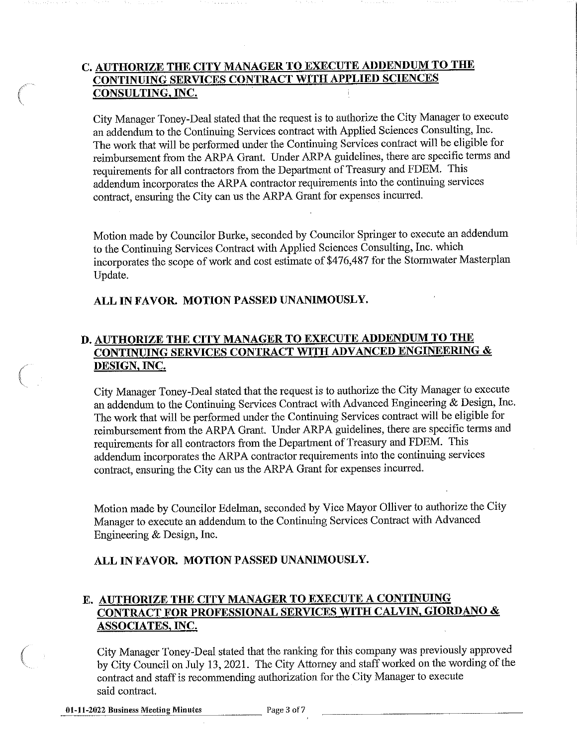# **C. AUTHORIZE THE CITY MANAGER TO EXECUTE ADDENDUM TO THE CONTINUING SERVICES CONTRACT WITH APPLIED SCIENCES CONSULTING,INC.**

City Manager Toney-Deal stated that the request is to authorize the City Manager to execute an addendum to the Continuing Services contract with Applied Sciences Consulting, Inc. The work that will be perfonned under the Continuing Services contract will be eligible for reimbursement from the ARPA Grant. Under ARPA guidelines, there are specific terms and requirements for all contractors from the Depmtment of Treasury and FDEM. This addendum incorporates the ARPA contractor requirements into the continuing services contract, ensuring the City can us the ARPA Grant for expenses incurred.

Motion made by Councilor Burke, seconded by Councilor Springer to execute an addendum to the Continuing Services Contract with Applied Sciences Consulting, Inc. which incorporates the scope of work and cost estimate of \$476,487 for the Stormwater Masterplan Update.

## **ALL IN FAVOR. MOTION PASSED UNANIMOUSLY.**

## **D. AUTHORIZE THE CITY MANAGER TO EXECUTE ADDENDUM TO THE CONTINUING SERVICES CONTRACT WITH ADV AN CED ENGINEERING** & **DESIGN, INC.**

City Manager Toney-Deal stated that the request is to authorize the City Manager to execute an addendum to the Continuing Services Contract with Advanced Engineering & Design, Inc. The work that will be performed under the Continuing Services contract will be eligible for reimbursement from the ARPA Grant. Under ARPA guidelines, there are specific terms and requirements for all contractors from the Department of Treasury and FDEM. This addendum incorporates the ARPA contractor requirements into the continuing services contract, ensuring the City can us the ARPA Grant for expenses incurred.

Motion made by Councilor Edelman, seconded by Vice Mayor Olliver to authorize the City Manager to execute an addendum to the Continuing Services Contract with Advanced Engineering & Design, Inc.

## **ALL IN FAVOR. MOTION PASSED UNANIMOUSLY.**

# **E. AUTHORIZE THE CITY MANAGER TO EXECUTE A CONTINUING CONTRACT FOR PROFESSIONAL SERVICES WITH CAL VIN, GIORDANO** & **ASSOCIATES, INC.**

City Manager Toney-Deal stated that the ranking for this company was previously approved by City Council on July 13, 2021. The City Attorney and staff worked on the wording of the contract and staff is recommending authorization for the City Manager to execute said contract.

*(* 

*(*   $\tilde{\mathcal{L}}$ 

 $\left($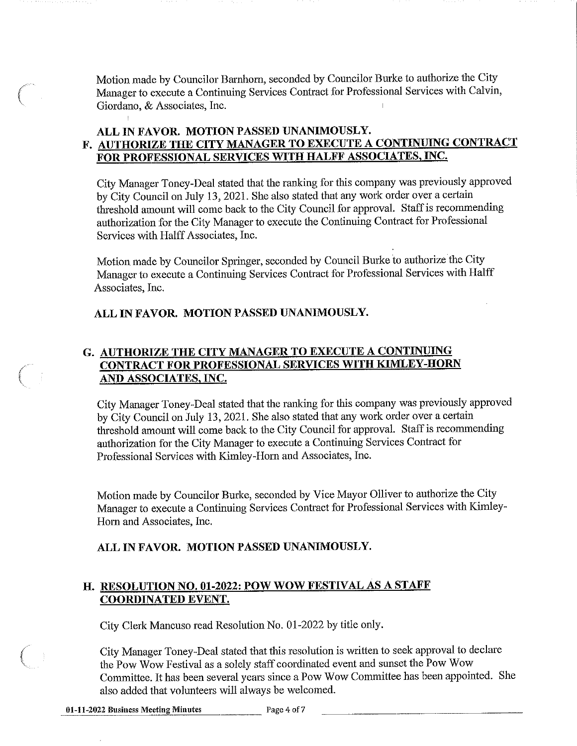Motion made by Councilor Barnhom, seconded by Councilor Burke to authorize the City Manager to execute a Continuing Services Contract for Professional Services with Calvin, Giordano, & Associates, Inc.

## **ALL IN FAVOR. MOTION PASSED UNANIMOUSLY. F. AUTHORIZE THE CITY MANAGER TO EXECUTE A CONTINUING CONTRACT FOR PROFESSIONAL SERVICES WITH HALFF ASSOCIATES, INC.**

City Manager Toney-Deal stated that the ranking for this company was previously approved by City Council on July 13, 2021. She also stated that any work order over a certain threshold amount will come back to the City Council for approval. Staff is recommending authorization for the City Manager to execute the Continuing Contract for Professional Services with Halff Associates, Inc.

Motion made by Councilor Springer, seconded by Council Burke to authorize the City Manager to execute a Continuing Services Contract for Professional Services with Halff Associates, Inc.

#### **ALL IN FAVOR. MOTION PASSED UNANIMOUSLY.**

# **G. AUTHORIZE THE CITY MANAGER TO EXECUTE A CONTINUING CONTRACT FOR PROFESSIONAL SERVICES WITH KIMLEY-HORN** ( **AND ASSOCIATES, INC.**

City Manager Toney-Deal stated that the ranking for this company was previously approved by City Council on July 13, 2021. She also stated that any work order over a certain threshold amount will come back to the City Council for approval. Staff is recommending authorization for the City Manager to execute a Continuing Services Contract for Professional Services with Kimley-Horn and Associates, Inc.

Motion made by Councilor Burke, seconded by Vice Mayor Olliver to authorize the City Manager to execute a Continuing Services Contract for Professional Services with Kimley-Hom and Associates, Inc.

## **ALL IN FAVOR. MOTION PASSED UNANIMOUSLY.**

## **H. RESOLUTION NO. 01-2022: POW WOW FESTIVAL AS A STAFF COORDINATED EVENT.**

City Clerk Mancuso read Resolution No. 01-2022 by title only.

City Manager Toney-Deal stated that this resolution is written to seek approval to declare the Pow Wow Festival as a solely staff coordinated event and sunset the Pow Wow Committee. It has been several years since a Pow Wow Committee has been appointed. She also added that volunteers will always be welcomed.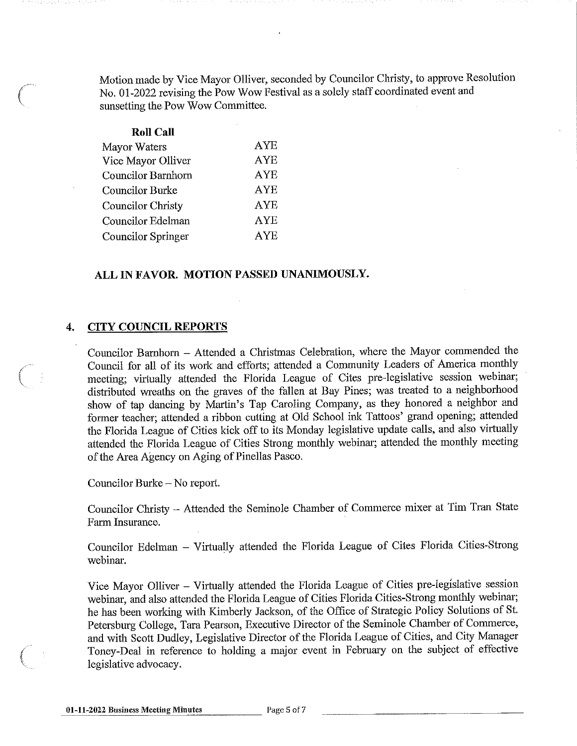Motion made by Vice Mayor Olliver, seconded by Councilor Christy, to approve Resolution No. 01-2022 revising the Pow Wow Festival as a solely staff coordinated event and sunsetting the Pow Wow Committee.

| <b>Roll Call</b>         |            |
|--------------------------|------------|
| Mayor Waters             | <b>AYE</b> |
| Vice Mayor Olliver       | <b>AYE</b> |
| Councilor Barnhorn       | AYE        |
| <b>Councilor Burke</b>   | AYE        |
| <b>Councilor Christy</b> | AYE        |
| Councilor Edelman        | <b>AYE</b> |
| Councilor Springer       | AYE        |

#### **ALL IN FAVOR. MOTION PASSED UNANIMOUSLY.**

#### **4. CITY COUNCIL REPORTS**

Councilor Barnhom - Attended a Christmas Celebration, where the Mayor commended the Council for all of its work and efforts; attended a Community Leaders of America monthly *(*  meeting; virtually attended the Florida League of Cites pre-legislative session webinar; distributed wreaths on the graves of the fallen at Bay Pines; was treated to a neighborhood show of tap dancing by Martin's Tap Caroling Company, as they honored a neighbor and former teacher; attended a ribbon cutting at Old School ink Tattoos' grand opening; attended the Florida League of Cities kick off to its Monday legislative update calls, and also virtually attended the Florida League of Cities Strong monthly webinar; attended the monthly meeting of the Area Agency on Aging of Pinellas Pasco.

Councilor Burke - No report.

Councilor Christy - Attended the Seminole Chamber of Commerce mixer at Tim Tran State Farm Insurance.

Councilor Edelman - Virtually attended the Florida League of Cites Florida Cities-Strong webinar.

Vice Mayor Olliver - Virtually attended the Florida League of Cities pre-legislative session webinar, and also attended the Florida League of Cities Florida Cities-Strong monthly webinar; he has been working with Kimberly Jackson, of the Office of Strategic Policy Solutions of St. Petersburg College, Tara Pearson, Executive Director of the Seminole Chamber of Commerce, and with Scott Dudley, Legislative Director of the Florida League of Cities, and City Manager Toney-Deal in reference to holding a major event in February on the subject of effective legislative advocacy.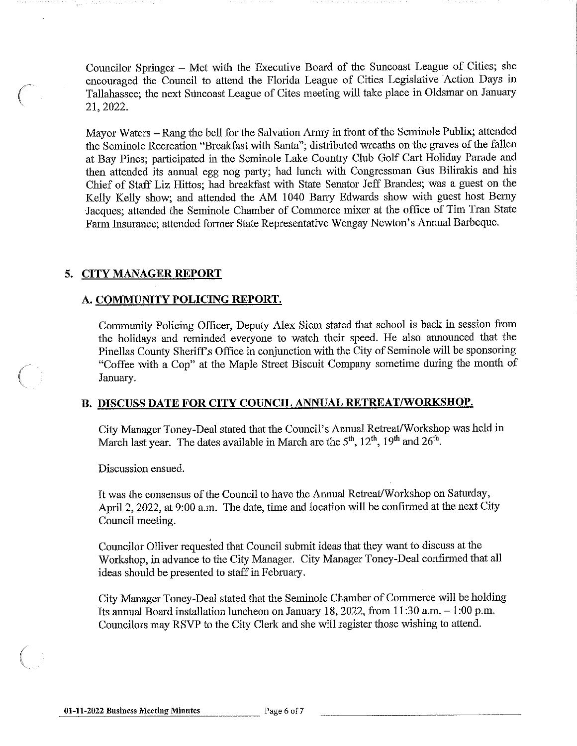Councilor Springer - Met with the Executive Board of the Suncoast League of Cities; she encouraged the Council to attend the Florida League of Cities Legislative Action Days in ( Tallahassee; the next Suncoast League of Cites meeting will take place in Oldsmar on January 21, 2022.

Mayor Waters - Rang the bell for the Salvation Army in front of the Seminole Publix; attended the Seminole Recreation "Breakfast with Santa"; distributed wreaths on the graves of the fallen at Bay Pines; participated in the Seminole Lake Country Club Golf Cart Holiday Parade and then attended its annual egg nog party; had lunch with Congressman Gus Bilirakis and his Chief of Staff Liz Hittos; had breakfast with State Senator Jeff Brandes; was a guest on the Kelly Kelly show; and attended the AM 1040 Barry Edwards show with guest host Berny Jacques; attended the Seminole Chamber of Commerce mixer at the office of Tim Tran State Fann Insurance; attended former State Representative Wengay Newton's Annual Barbeque.

## **5. CITY MANAGER REPORT**

## **A. COMMUNITY POLICING REPORT.**

Community Policing Officer, Deputy Alex Siem stated that school is back in session from the holidays and reminded everyone to watch their speed. He also announced that the Pinellas County Sheriff's Office in conjunction with the City of Seminole will be sponsoring "Coffee with a Cop" at the Maple Street Biscuit Company sometime during the month of January.

## **B. DISCUSS DATE FOR CITY COUNCIL ANNUAL RETREAT/WORKSHOP.**

City Manager Toney-Deal stated that the Council's Annual Retreat/Workshop was held in March last year. The dates available in March are the  $5<sup>th</sup>$ ,  $12<sup>th</sup>$ ,  $19<sup>th</sup>$  and  $26<sup>th</sup>$ .

Discussion ensued.

It was the consensus of the Council to have the Annual Retreat/Workshop on Saturday, April 2, 2022, at 9:00 a.m. The date, time and location will be confirmed at the next City Council meeting.

Councilor Olliver requested that Council submit ideas that they want to discuss at the Workshop, in advance to the City Manager. City Manager Toney-Deal confirmed that all ideas should be presented to staff in February.

City Manager Toney-Deal stated that the Seminole Chamber of Commerce will be holding Its annual Board installation luncheon on January 18, 2022, from  $11:30$  a.m.  $-1:00$  p.m. Councilors may RSVP to the City Clerk and she will register those wishing to attend.